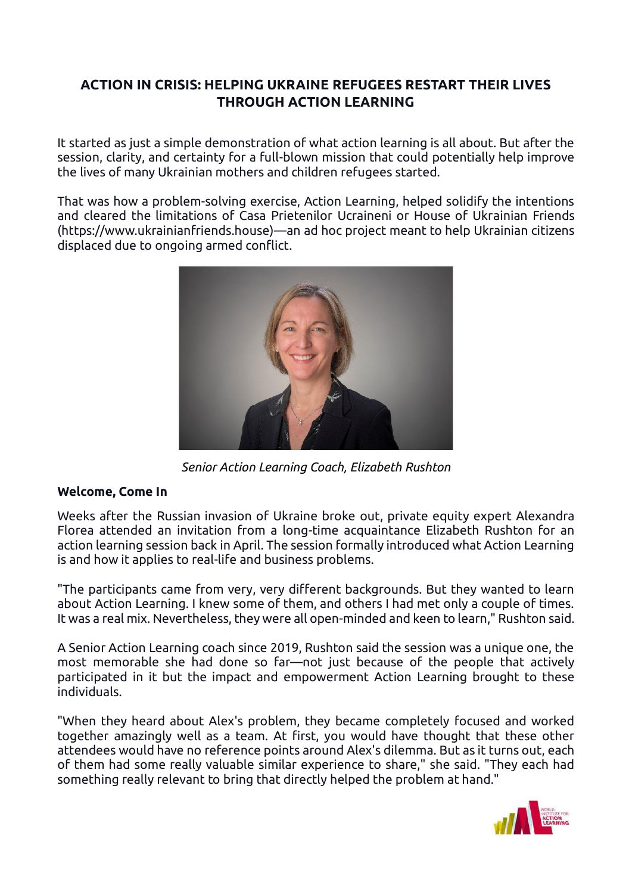## **ACTION IN CRISIS: HELPING UKRAINE REFUGEES RESTART THEIR LIVES THROUGH ACTION LEARNING**

It started as just a simple demonstration of what action learning is all about. But after the session, clarity, and certainty for a full-blown mission that could potentially help improve the lives of many Ukrainian mothers and children refugees started.

That was how a problem-solving exercise, Action Learning, helped solidify the intentions and cleared the limitations of Casa Prietenilor Ucraineni or House of Ukrainian Friends (https://www.ukrainianfriends.house)—an ad hoc project meant to help Ukrainian citizens displaced due to ongoing armed conflict.



*Senior Action Learning Coach, Elizabeth Rushton*

## **Welcome, Come In**

Weeks after the Russian invasion of Ukraine broke out, private equity expert Alexandra Florea attended an invitation from a long-time acquaintance Elizabeth Rushton for an action learning session back in April. The session formally introduced what Action Learning is and how it applies to real-life and business problems.

"The participants came from very, very different backgrounds. But they wanted to learn about Action Learning. I knew some of them, and others I had met only a couple of times. It was a real mix. Nevertheless, they were all open-minded and keen to learn," Rushton said.

A Senior Action Learning coach since 2019, Rushton said the session was a unique one, the most memorable she had done so far—not just because of the people that actively participated in it but the impact and empowerment Action Learning brought to these individuals.

"When they heard about Alex's problem, they became completely focused and worked together amazingly well as a team. At first, you would have thought that these other attendees would have no reference points around Alex's dilemma. But as it turns out, each of them had some really valuable similar experience to share," she said. "They each had something really relevant to bring that directly helped the problem at hand."

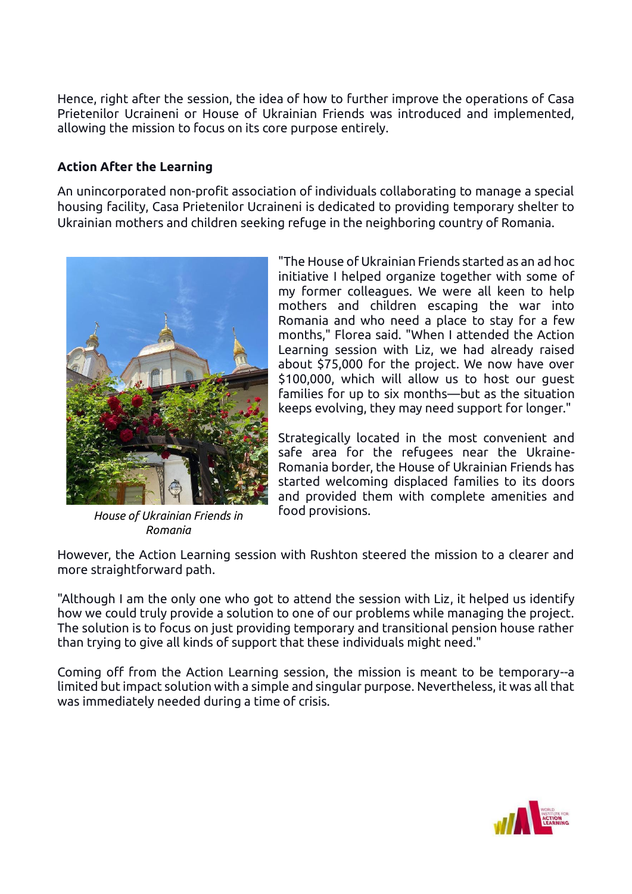Hence, right after the session, the idea of how to further improve the operations of Casa Prietenilor Ucraineni or House of Ukrainian Friends was introduced and implemented, allowing the mission to focus on its core purpose entirely.

## **Action After the Learning**

An unincorporated non-profit association of individuals collaborating to manage a special housing facility, Casa Prietenilor Ucraineni is dedicated to providing temporary shelter to Ukrainian mothers and children seeking refuge in the neighboring country of Romania.



*House of Ukrainian Friends in Romania*

"The House of Ukrainian Friends started as an ad hoc initiative I helped organize together with some of my former colleagues. We were all keen to help mothers and children escaping the war into Romania and who need a place to stay for a few months," Florea said. "When I attended the Action Learning session with Liz, we had already raised about \$75,000 for the project. We now have over \$100,000, which will allow us to host our guest families for up to six months—but as the situation keeps evolving, they may need support for longer."

Strategically located in the most convenient and safe area for the refugees near the Ukraine-Romania border, the House of Ukrainian Friends has started welcoming displaced families to its doors and provided them with complete amenities and food provisions.

However, the Action Learning session with Rushton steered the mission to a clearer and more straightforward path.

"Although I am the only one who got to attend the session with Liz, it helped us identify how we could truly provide a solution to one of our problems while managing the project. The solution is to focus on just providing temporary and transitional pension house rather than trying to give all kinds of support that these individuals might need."

Coming off from the Action Learning session, the mission is meant to be temporary--a limited but impact solution with a simple and singular purpose. Nevertheless, it was all that was immediately needed during a time of crisis.

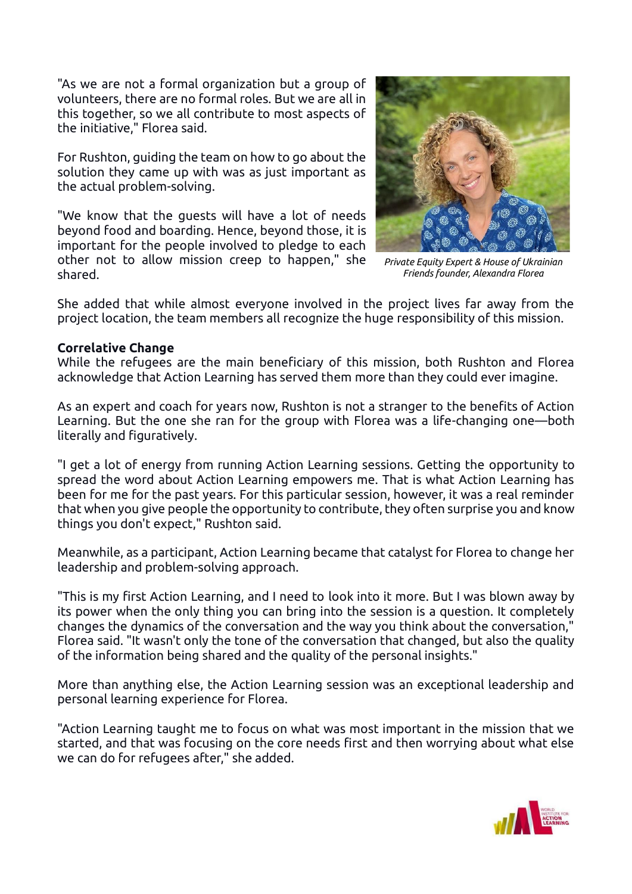"As we are not a formal organization but a group of volunteers, there are no formal roles. But we are all in this together, so we all contribute to most aspects of the initiative," Florea said.

For Rushton, guiding the team on how to go about the solution they came up with was as just important as the actual problem-solving.

"We know that the guests will have a lot of needs beyond food and boarding. Hence, beyond those, it is important for the people involved to pledge to each other not to allow mission creep to happen," she shared.

*Private Equity Expert & House of Ukrainian Friends founder, Alexandra Florea*

She added that while almost everyone involved in the project lives far away from the project location, the team members all recognize the huge responsibility of this mission.

## **Correlative Change**

While the refugees are the main beneficiary of this mission, both Rushton and Florea acknowledge that Action Learning has served them more than they could ever imagine.

As an expert and coach for years now, Rushton is not a stranger to the benefits of Action Learning. But the one she ran for the group with Florea was a life-changing one—both literally and figuratively.

"I get a lot of energy from running Action Learning sessions. Getting the opportunity to spread the word about Action Learning empowers me. That is what Action Learning has been for me for the past years. For this particular session, however, it was a real reminder that when you give people the opportunity to contribute, they often surprise you and know things you don't expect," Rushton said.

Meanwhile, as a participant, Action Learning became that catalyst for Florea to change her leadership and problem-solving approach.

"This is my first Action Learning, and I need to look into it more. But I was blown away by its power when the only thing you can bring into the session is a question. It completely changes the dynamics of the conversation and the way you think about the conversation," Florea said. "It wasn't only the tone of the conversation that changed, but also the quality of the information being shared and the quality of the personal insights."

More than anything else, the Action Learning session was an exceptional leadership and personal learning experience for Florea.

"Action Learning taught me to focus on what was most important in the mission that we started, and that was focusing on the core needs first and then worrying about what else we can do for refugees after," she added.